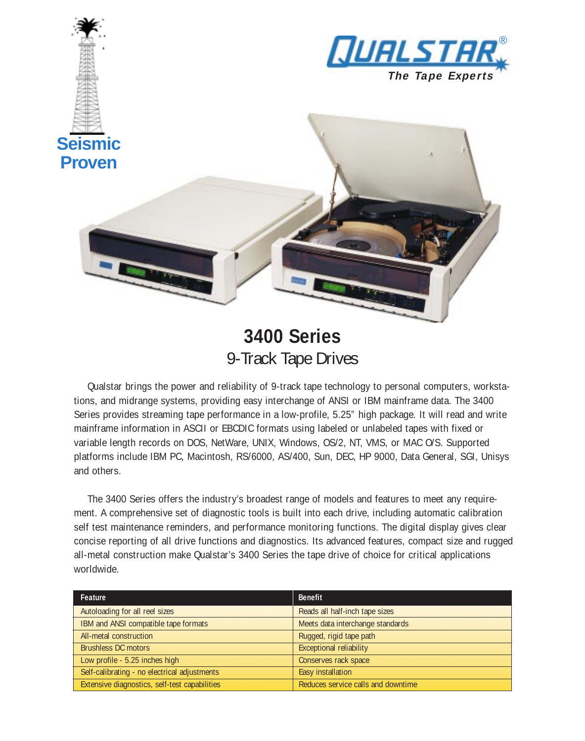

## **3400 Series** 9-Track Tape Drives

Qualstar brings the power and reliability of 9-track tape technology to personal computers, workstations, and midrange systems, providing easy interchange of ANSI or IBM mainframe data. The 3400 Series provides streaming tape performance in a low-profile, 5.25" high package. It will read and write mainframe information in ASCII or EBCDIC formats using labeled or unlabeled tapes with fixed or variable length records on DOS, NetWare, UNIX, Windows, OS/2, NT, VMS, or MAC O/S. Supported platforms include IBM PC, Macintosh, RS/6000, AS/400, Sun, DEC, HP 9000, Data General, SGI, Unisys and others.

The 3400 Series offers the industry's broadest range of models and features to meet any requirement. A comprehensive set of diagnostic tools is built into each drive, including automatic calibration self test maintenance reminders, and performance monitoring functions. The digital display gives clear concise reporting of all drive functions and diagnostics. Its advanced features, compact size and rugged all-metal construction make Qualstar's 3400 Series the tape drive of choice for critical applications worldwide.

| Feature                                       | <b>Benefit</b>                     |
|-----------------------------------------------|------------------------------------|
| Autoloading for all reel sizes                | Reads all half-inch tape sizes     |
| IBM and ANSI compatible tape formats          | Meets data interchange standards   |
| All-metal construction                        | Rugged, rigid tape path            |
| <b>Brushless DC motors</b>                    | <b>Exceptional reliability</b>     |
| Low profile - 5.25 inches high                | Conserves rack space               |
| Self-calibrating - no electrical adjustments  | Easy installation                  |
| Extensive diagnostics, self-test capabilities | Reduces service calls and downtime |